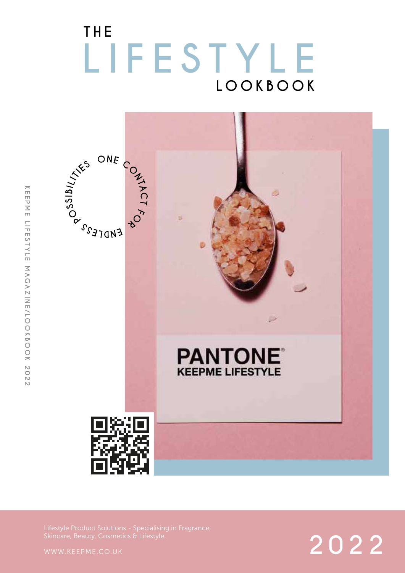### **LOOKBOOK THE LIFESTYLE**



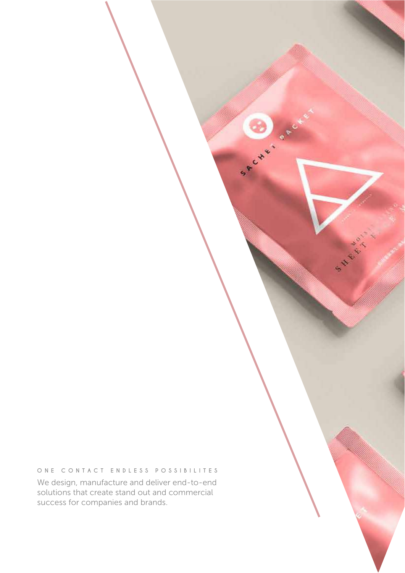### **ONE CONTACT ENDLESS POSSIBILITES**

Spenge of

We design, manufacture and deliver end-to-end solutions that create stand out and commercial success for companies and brands.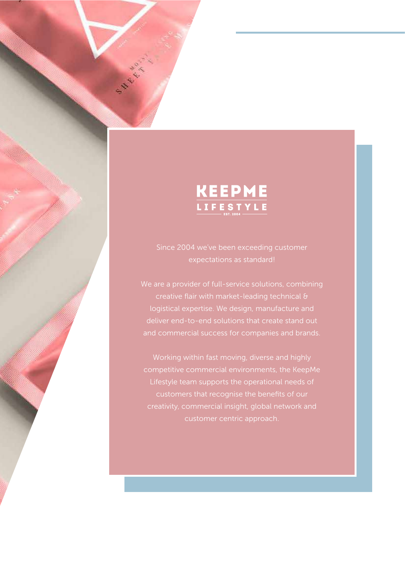

Since 2004 we've been exceeding customer expectations as standard!

We are a provider of full-service solutions, combining creative flair with market-leading technical & logistical expertise. We design, manufacture and and commercial success for companies and brands.

Working within fast moving, diverse and highly competitive commercial environments, the KeepMe Lifestyle team supports the operational needs of customers that recognise the benefits of our creativity, commercial insight, global network and customer centric approach.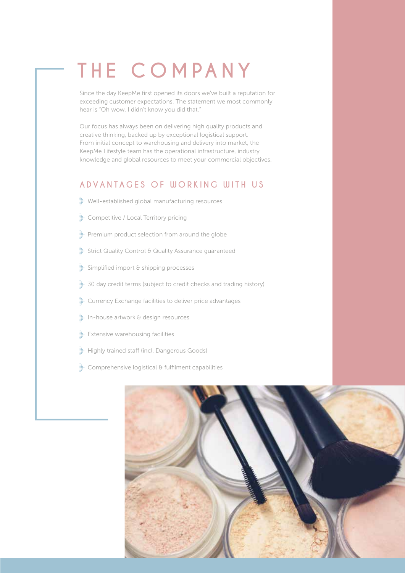### **THE COMPANY**

Since the day KeepMe first opened its doors we've built a reputation for exceeding customer expectations. The statement we most commonly hear is "Oh wow, I didn't know you did that."

Our focus has always been on delivering high quality products and creative thinking, backed up by exceptional logistical support. From initial concept to warehousing and delivery into market, the KeepMe Lifestyle team has the operational infrastructure, industry knowledge and global resources to meet your commercial objectives.

### **ADVANTAGES OF WORKING WITH US**

- **Well-established global manufacturing resources**
- **::::** Competitive / Local Territory pricing
- Premium product selection from around the globe
- Strict Quality Control & Quality Assurance guaranteed
- Simplified import & shipping processes
- 30 day credit terms (subject to credit checks and trading history)
- Eurrency Exchange facilities to deliver price advantages
- **In-house artwork & design resources**
- **:** Extensive warehousing facilities
- **Highly trained staff (incl. Dangerous Goods)**
- **:::** Comprehensive logistical & fulfilment capabilities

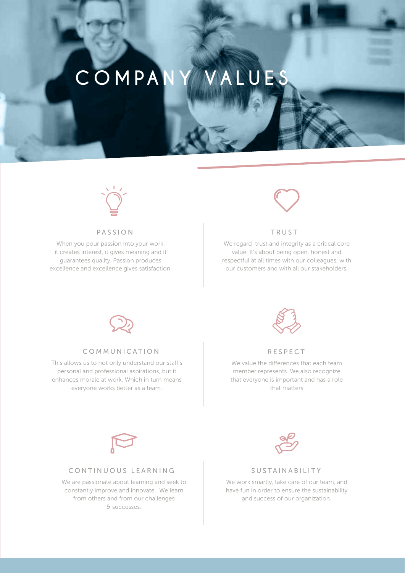### **COMPANY VALUES**



### PASSION

When you pour passion into your work, it creates interest, it gives meaning and it guarantees quality. Passion produces excellence and excellence gives satisfaction.



#### TRUST

We regard trust and integrity as a critical core value. It's about being open, honest and respectful at all times with our colleagues, with our customers and with all our stakeholders.



#### COMMUNICATION RESPECT

This allows us to not only understand our staff's personal and professional aspirations, but it enhances morale at work. Which in turn means everyone works better as a team.



We value the differences that each team member represents. We also recognize that everyone is important and has a role that matters



### CONTINUOUS LEARNING

We are passionate about learning and seek to constantly improve and innovate. We learn from others and from our challenges & successes.



#### SUSTAINABILITY

We work smartly, take care of our team, and have fun in order to ensure the sustainability and success of our organization.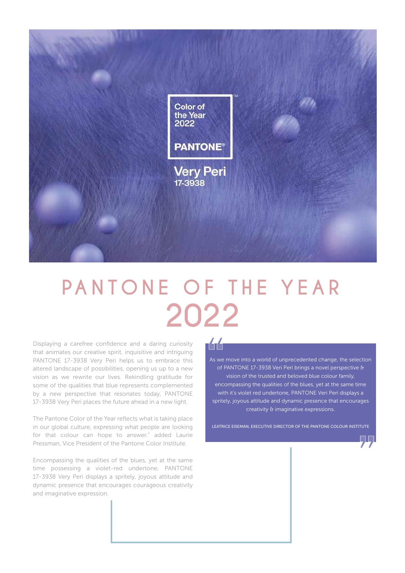

# **PANTONE OF THE YEAR 2022**

Displaying a carefree confidence and a daring curiosity that animates our creative spirit, inquisitive and intriguing PANTONE 17-3938 Very Peri helps us to embrace this altered landscape of possibilities, opening us up to a new vision as we rewrite our lives. Rekindling gratitude for some of the qualities that blue represents complemented by a new perspective that resonates today, PANTONE 17-3938 Very Peri places the future ahead in a new light.

The Pantone Color of the Year reflects what is taking place in our global culture, expressing what people are looking for that colour can hope to answer." added Laurie Pressman, Vice President of the Pantone Color Institute.

Encompassing the qualities of the blues, yet at the same time possessing a violet-red undertone, PANTONE 17-3938 Very Peri displays a spritely, joyous attitude and dynamic presence that encourages courageous creativity and imaginative expression.

### 144

As we move into a world of unprecedented change, the selection of PANTONE 17-3938 Veri Peri brings a novel perspective & vision of the trusted and beloved blue colour family, encompassing the qualities of the blues, yet at the same time with it's violet red undertone, PANTONE Veri Peri displays a spritely, joyous attitude and dynamic presence that encourages creativity & imaginative expressions.

LEATRICE EISEMAN, EXECUTIVE DIRECTOR OF THE PANTONE COLOUR INSTITUTE

99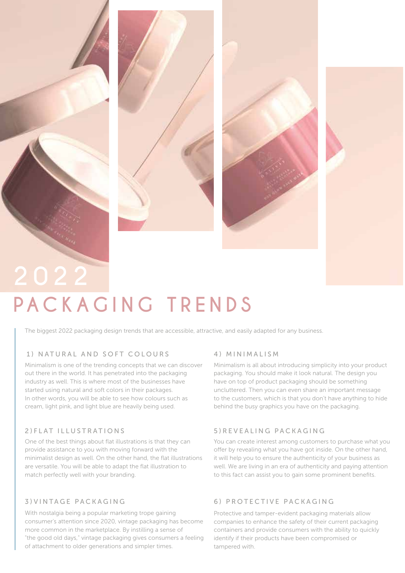## **PACKAGING TRENDS**

The biggest 2022 packaging design trends that are accessible, attractive, and easily adapted for any business.

### 1) NATURAL AND SOFT COLOURS

Minimalism is one of the trending concepts that we can discover out there in the world. It has penetrated into the packaging industry as well. This is where most of the businesses have started using natural and soft colors in their packages. In other words, you will be able to see how colours such as cream, light pink, and light blue are heavily being used.

### 2)FLAT ILLUSTRATIONS

One of the best things about flat illustrations is that they can provide assistance to you with moving forward with the minimalist design as well. On the other hand, the flat illustrations are versatile. You will be able to adapt the flat illustration to match perfectly well with your branding.

### 3)VINTAGE PACKAGING

With nostalgia being a popular marketing trope gaining consumer's attention since 2020, vintage packaging has become more common in the marketplace. By instilling a sense of "the good old days," vintage packaging gives consumers a feeling of attachment to older generations and simpler times.

#### 4) MINIMALISM

Minimalism is all about introducing simplicity into your product packaging. You should make it look natural. The design you have on top of product packaging should be something uncluttered. Then you can even share an important message to the customers, which is that you don't have anything to hide behind the busy graphics you have on the packaging.

### 5)REVEALING PACKAGING

You can create interest among customers to purchase what you offer by revealing what you have got inside. On the other hand, it will help you to ensure the authenticity of your business as well. We are living in an era of authenticity and paying attention to this fact can assist you to gain some prominent benefits.

### 6) PROTECTIVE PACKAGING

Protective and tamper-evident packaging materials allow companies to enhance the safety of their current packaging containers and provide consumers with the ability to quickly identify if their products have been compromised or tampered with.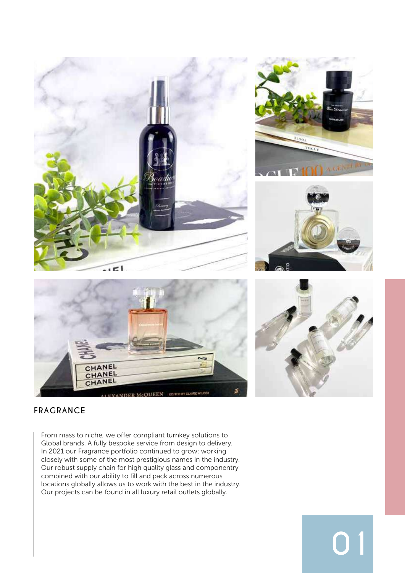









**01**

### **FRAGRANCE**

From mass to niche, we offer compliant turnkey solutions to Global brands. A fully bespoke service from design to delivery. In 2021 our Fragrance portfolio continued to grow: working closely with some of the most prestigious names in the industry. Our robust supply chain for high quality glass and componentry combined with our ability to fill and pack across numerous locations globally allows us to work with the best in the industry. Our projects can be found in all luxury retail outlets globally.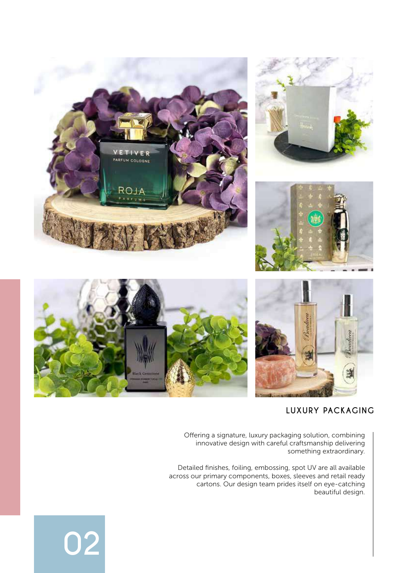

### **LUXURY PACKAGING**

Offering a signature, luxury packaging solution, combining innovative design with careful craftsmanship delivering something extraordinary.

Detailed finishes, foiling, embossing, spot UV are all available across our primary components, boxes, sleeves and retail ready cartons. Our design team prides itself on eye-catching beautiful design.

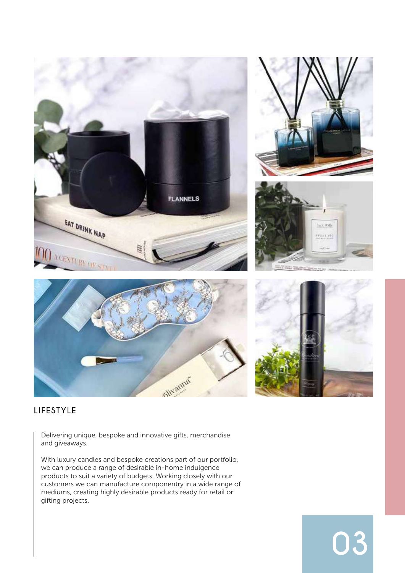

**03**

### **LIFESTYLE**

Delivering unique, bespoke and innovative gifts, merchandise and giveaways.

With luxury candles and bespoke creations part of our portfolio, we can produce a range of desirable in-home indulgence products to suit a variety of budgets. Working closely with our customers we can manufacture componentry in a wide range of mediums, creating highly desirable products ready for retail or gifting projects.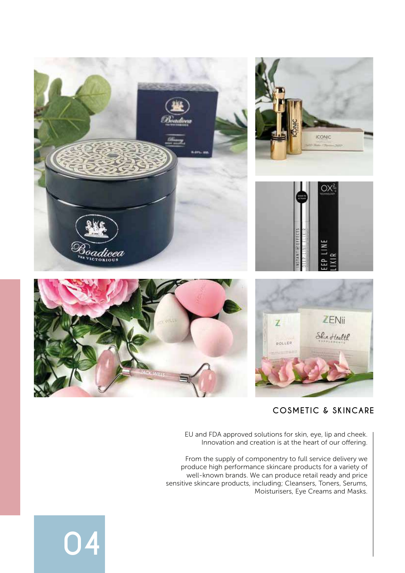

### **COSMETIC & SKINCARE**

EU and FDA approved solutions for skin, eye, lip and cheek. Innovation and creation is at the heart of our offering.

From the supply of componentry to full service delivery we produce high performance skincare products for a variety of well-known brands. We can produce retail ready and price sensitive skincare products, including; Cleansers, Toners, Serums, Moisturisers, Eye Creams and Masks.